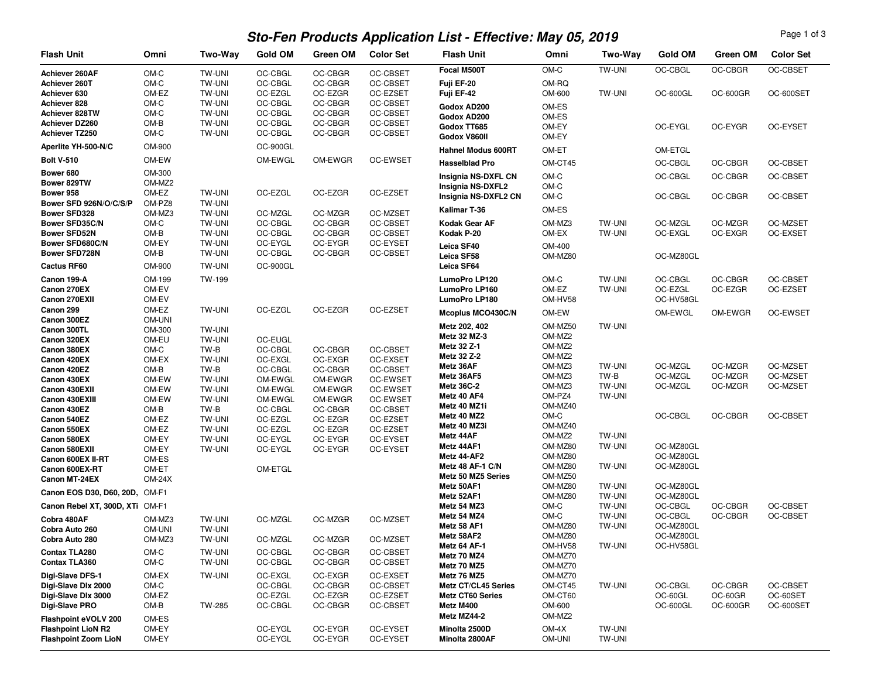## **Sto-Fen Products Application List - Effective: May 05, 2019**

Page 1 of 3

| <b>Flash Unit</b>                   | Omni              | Two-Way                        | <b>Gold OM</b>     | Green OM           | <b>Color Set</b>            | <b>Flash Unit</b>               | Omni               | Two-Way                        | <b>Gold OM</b>         | Green OM           | <b>Color Set</b>            |
|-------------------------------------|-------------------|--------------------------------|--------------------|--------------------|-----------------------------|---------------------------------|--------------------|--------------------------------|------------------------|--------------------|-----------------------------|
| Achiever 260AF                      | OM-C              | TW-UNI                         | OC-CBGL            | OC-CBGR            | OC-CBSET                    | Focal M500T                     | OM-C               | TW-UNI                         | OC-CBGL                | OC-CBGR            | OC-CBSET                    |
| Achiever 260T                       | OM-C              | <b>TW-UNI</b>                  | OC-CBGL            | OC-CBGR            | OC-CBSET                    | Fuji EF-20                      | OM-RQ              |                                |                        |                    |                             |
| Achiever 630                        | OM-EZ             | <b>TW-UNI</b>                  | OC-EZGL            | OC-EZGR            | OC-EZSET                    | Fuji EF-42                      | OM-600             | <b>TW-UNI</b>                  | OC-600GL               | <b>OC-600GR</b>    | OC-600SET                   |
| Achiever 828<br>Achiever 828TW      | OM-C<br>OM-C      | <b>TW-UNI</b><br><b>TW-UNI</b> | OC-CBGL<br>OC-CBGL | OC-CBGR<br>OC-CBGR | <b>OC-CBSET</b><br>OC-CBSET | Godox AD200                     | OM-ES              |                                |                        |                    |                             |
| Achiever DZ260                      | OM-B              | TW-UNI                         | OC-CBGL            | OC-CBGR            | OC-CBSET                    | Godox AD200<br>Godox TT685      | OM-ES<br>OM-EY     |                                | OC-EYGL                | OC-EYGR            | OC-EYSET                    |
| Achiever TZ250                      | OM-C              | <b>TW-UNI</b>                  | OC-CBGL            | OC-CBGR            | OC-CBSET                    | Godox V860II                    | OM-EY              |                                |                        |                    |                             |
| Aperlite YH-500-N/C                 | OM-900            |                                | OC-900GL           |                    |                             | <b>Hahnel Modus 600RT</b>       | OM-ET              |                                | OM-ETGL                |                    |                             |
| <b>Bolt V-510</b>                   | OM-EW             |                                | OM-EWGL            | OM-EWGR            | OC-EWSET                    | <b>Hasselblad Pro</b>           | OM-CT45            |                                | OC-CBGL                | OC-CBGR            | OC-CBSET                    |
| Bower 680                           | OM-300            |                                |                    |                    |                             | Insignia NS-DXFL CN             | OM-C               |                                | OC-CBGL                | OC-CBGR            | <b>OC-CBSET</b>             |
| Bower 829TW                         | OM-MZ2            |                                |                    |                    |                             | Insignia NS-DXFL2               | OM-C               |                                |                        |                    |                             |
| Bower 958<br>Bower SFD 926N/O/C/S/P | OM-EZ             | <b>TW-UNI</b>                  | OC-EZGL            | OC-EZGR            | OC-EZSET                    | Insignia NS-DXFL2 CN            | OM-C               |                                | OC-CBGL                | OC-CBGR            | OC-CBSET                    |
| <b>Bower SFD328</b>                 | OM-PZ8<br>OM-MZ3  | <b>TW-UNI</b><br><b>TW-UNI</b> | OC-MZGL            | OC-MZGR            | OC-MZSET                    | Kalimar T-36                    | OM-ES              |                                |                        |                    |                             |
| <b>Bower SFD35C/N</b>               | OM-C              | <b>TW-UNI</b>                  | OC-CBGL            | OC-CBGR            | OC-CBSET                    | Kodak Gear AF                   | OM-MZ3             | TW-UNI                         | OC-MZGL                | OC-MZGR            | OC-MZSET                    |
| <b>Bower SFD52N</b>                 | OM-B              | <b>TW-UNI</b>                  | OC-CBGL            | OC-CBGR            | OC-CBSET                    | Kodak P-20                      | OM-EX              | TW-UNI                         | OC-EXGL                | OC-EXGR            | OC-EXSET                    |
| Bower SFD680C/N                     | OM-EY             | <b>TW-UNI</b>                  | OC-EYGL            | OC-EYGR            | OC-EYSET                    | Leica SF40                      | OM-400             |                                |                        |                    |                             |
| Bower SFD728N                       | OM-B              | <b>TW-UNI</b>                  | OC-CBGL            | OC-CBGR            | OC-CBSET                    | Leica SF58                      | OM-MZ80            |                                | OC-MZ80GL              |                    |                             |
| <b>Cactus RF60</b>                  | OM-900            | <b>TW-UNI</b>                  | OC-900GL           |                    |                             | Leica SF64                      |                    |                                |                        |                    |                             |
| Canon 199-A                         | OM-199            | TW-199                         |                    |                    |                             | LumoPro LP120                   | OM-C               | TW-UNI                         | OC-CBGL                | OC-CBGR            | OC-CBSET                    |
| Canon 270EX<br>Canon 270EXII        | OM-EV             |                                |                    |                    |                             | LumoPro LP160                   | OM-EZ              | <b>TW-UNI</b>                  | OC-EZGL                | OC-EZGR            | OC-EZSET                    |
| Canon 299                           | OM-EV<br>OM-EZ    | <b>TW-UNI</b>                  | OC-EZGL            | OC-EZGR            | OC-EZSET                    | LumoPro LP180                   | OM-HV58            |                                | OC-HV58GL              |                    |                             |
| Canon 300EZ                         | OM-UNI            |                                |                    |                    |                             | Mcoplus MCO430C/N               | OM-EW              |                                | OM-EWGL                | OM-EWGR            | OC-EWSET                    |
| Canon 300TL                         | OM-300            | <b>TW-UNI</b>                  |                    |                    |                             | Metz 202, 402                   | OM-MZ50            | TW-UNI                         |                        |                    |                             |
| Canon 320EX                         | OM-EU             | <b>TW-UNI</b>                  | OC-EUGL            |                    |                             | Metz 32 MZ-3<br>Metz 32 Z-1     | OM-MZ2<br>OM-MZ2   |                                |                        |                    |                             |
| Canon 380EX                         | OM-C              | TW-B                           | OC-CBGL            | OC-CBGR            | OC-CBSET                    | Metz 32 Z-2                     | OM-MZ2             |                                |                        |                    |                             |
| Canon 420EX<br>Canon 420EZ          | OM-EX<br>OM-B     | <b>TW-UNI</b><br>TW-B          | OC-EXGL<br>OC-CBGL | OC-EXGR<br>OC-CBGR | OC-EXSET<br>OC-CBSET        | Metz 36AF                       | OM-MZ3             | <b>TW-UNI</b>                  | OC-MZGL                | OC-MZGR            | OC-MZSET                    |
| Canon 430EX                         | OM-EW             | <b>TW-UNI</b>                  | OM-EWGL            | OM-EWGR            | OC-EWSET                    | Metz 36AF5                      | OM-MZ3             | TW-B                           | OC-MZGL                | OC-MZGR            | OC-MZSET                    |
| Canon 430EXII                       | OM-EW             | <b>TW-UNI</b>                  | OM-EWGL            | OM-EWGR            | OC-EWSET                    | Metz 36C-2                      | OM-MZ3             | <b>TW-UNI</b>                  | OC-MZGL                | OC-MZGR            | OC-MZSET                    |
| Canon 430EXIII                      | OM-EW             | <b>TW-UNI</b>                  | OM-EWGL            | OM-EWGR            | OC-EWSET                    | Metz 40 AF4<br>Metz 40 MZ1i     | OM-PZ4<br>OM-MZ40  | <b>TW-UNI</b>                  |                        |                    |                             |
| Canon 430EZ                         | OM-B<br>OM-EZ     | TW-B<br><b>TW-UNI</b>          | OC-CBGL<br>OC-EZGL | OC-CBGR<br>OC-EZGR | OC-CBSET<br>OC-EZSET        | Metz 40 MZ2                     | OM-C               |                                | OC-CBGL                | OC-CBGR            | <b>OC-CBSET</b>             |
| Canon 540EZ<br>Canon 550EX          | OM-EZ             | <b>TW-UNI</b>                  | OC-EZGL            | OC-EZGR            | OC-EZSET                    | Metz 40 MZ3i                    | OM-MZ40            |                                |                        |                    |                             |
| Canon 580EX                         | OM-EY             | <b>TW-UNI</b>                  | OC-EYGL            | OC-EYGR            | OC-EYSET                    | Metz 44AF                       | OM-MZ2             | <b>TW-UNI</b>                  |                        |                    |                             |
| Canon 580EXII                       | OM-EY             | <b>TW-UNI</b>                  | OC-EYGL            | OC-EYGR            | OC-EYSET                    | Metz 44AF1                      | OM-MZ80            | <b>TW-UNI</b>                  | OC-MZ80GL              |                    |                             |
| Canon 600EX II-RT                   | OM-ES             |                                |                    |                    |                             | Metz 44-AF2<br>Metz 48 AF-1 C/N | OM-MZ80<br>OM-MZ80 | <b>TW-UNI</b>                  | OC-MZ80GL<br>OC-MZ80GL |                    |                             |
| Canon 600EX-RT<br>Canon MT-24EX     | OM-ET<br>$OM-24X$ |                                | OM-ETGL            |                    |                             | Metz 50 MZ5 Series              | OM-MZ50            |                                |                        |                    |                             |
|                                     |                   |                                |                    |                    |                             | Metz 50AF1                      | OM-MZ80            | <b>TW-UNI</b>                  | OC-MZ80GL              |                    |                             |
| Canon EOS D30, D60, 20D, OM-F1      |                   |                                |                    |                    |                             | Metz 52AF1                      | OM-MZ80            | <b>TW-UNI</b>                  | OC-MZ80GL              |                    |                             |
| Canon Rebel XT, 300D, XTi OM-F1     |                   |                                |                    |                    |                             | Metz 54 MZ3<br>Metz 54 MZ4      | OM-C<br>OM-C       | <b>TW-UNI</b><br><b>TW-UNI</b> | OC-CBGL<br>OC-CBGL     | OC-CBGR<br>OC-CBGR | OC-CBSET<br><b>OC-CBSET</b> |
| Cobra 480AF<br>Cobra Auto 260       | OM-MZ3<br>OM-UNI  | <b>TW-UNI</b><br>TW-UNI        | OC-MZGL            | OC-MZGR            | OC-MZSET                    | Metz 58 AF1                     | OM-MZ80            | <b>TW-UNI</b>                  | OC-MZ80GL              |                    |                             |
| Cobra Auto 280                      | OM-MZ3            | <b>TW-UNI</b>                  | OC-MZGL            | OC-MZGR            | OC-MZSET                    | Metz 58AF2                      | OM-MZ80            |                                | OC-MZ80GL              |                    |                             |
| Contax TLA280                       | OM-C              | <b>TW-UNI</b>                  | OC-CBGL            | OC-CBGR            | OC-CBSET                    | Metz 64 AF-1                    | OM-HV58            | TW-UNI                         | OC-HV58GL              |                    |                             |
| Contax TLA360                       | OM-C              | TW-UNI                         | OC-CBGL            | OC-CBGR            | OC-CBSET                    | Metz 70 MZ4<br>Metz 70 MZ5      | OM-MZ70            |                                |                        |                    |                             |
| Digi-Slave DFS-1                    | OM-EX             | <b>TW-UNI</b>                  | OC-EXGL            | OC-EXGR            | OC-EXSET                    | Metz 76 MZ5                     | OM-MZ70<br>OM-MZ70 |                                |                        |                    |                             |
| Digi-Slave Dlx 2000                 | OM-C              |                                | OC-CBGL            | OC-CBGR            | OC-CBSET                    | <b>Metz CT/CL45 Series</b>      | OM-CT45            | <b>TW-UNI</b>                  | OC-CBGL                | OC-CBGR            | OC-CBSET                    |
| Digi-Slave Dlx 3000                 | OM-EZ             |                                | OC-EZGL            | OC-EZGR            | OC-EZSET                    | <b>Metz CT60 Series</b>         | OM-CT60            |                                | OC-60GL                | OC-60GR            | OC-60SET                    |
| Digi-Slave PRO                      | OM-B              | TW-285                         | OC-CBGL            | OC-CBGR            | OC-CBSET                    | Metz M400                       | OM-600             |                                | OC-600GL               | <b>OC-600GR</b>    | OC-600SET                   |
| Flashpoint eVOLV 200                | OM-ES             |                                |                    |                    |                             | Metz MZ44-2                     | OM-MZ <sub>2</sub> |                                |                        |                    |                             |
| <b>Flashpoint LioN R2</b>           | OM-EY             |                                | OC-EYGL            | OC-EYGR            | OC-EYSET                    | Minolta 2500D                   | OM-4X              | TW-UNI                         |                        |                    |                             |
| <b>Flashpoint Zoom LioN</b>         | OM-EY             |                                | OC-EYGL            | OC-EYGR            | OC-EYSET                    | Minolta 2800AF                  | OM-UNI             | TW-UNI                         |                        |                    |                             |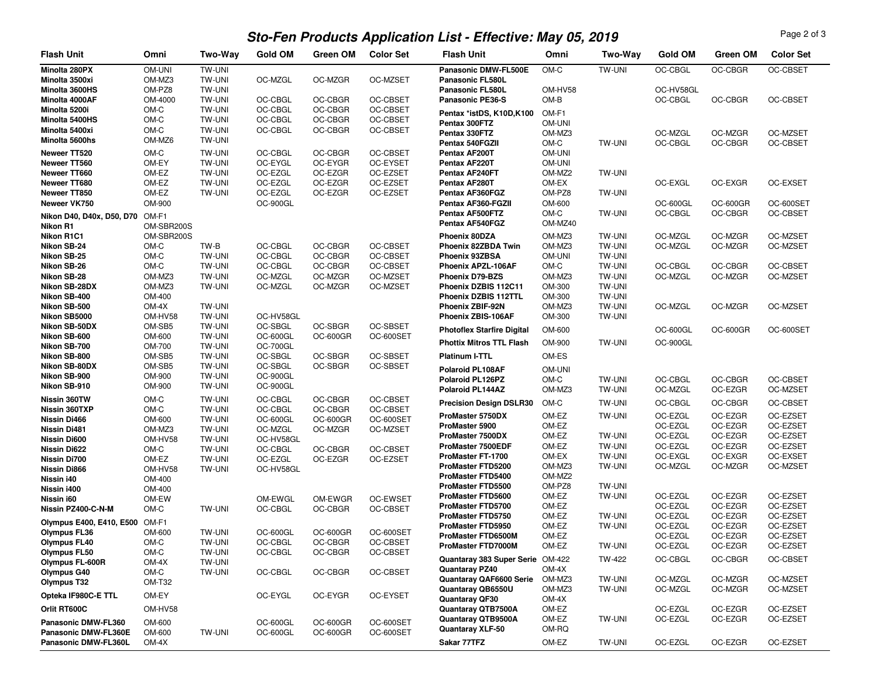## **Sto-Fen Products Application List - Effective: May 05, 2019**

Page 2 of 3

| <b>Flash Unit</b>                           | Omni                     | <b>Two-Way</b>                 | <b>Gold OM</b>              | <b>Green OM</b>      | <b>Color Set</b>       | <b>Flash Unit</b>                            | Omni             | Two-Way                 | <b>Gold OM</b>     | Green OM           | <b>Color Set</b>     |
|---------------------------------------------|--------------------------|--------------------------------|-----------------------------|----------------------|------------------------|----------------------------------------------|------------------|-------------------------|--------------------|--------------------|----------------------|
| Minolta 280PX                               | OM-UNI                   | TW-UNI                         |                             |                      |                        | Panasonic DMW-FL500E                         | OM-C             | TW-UNI                  | OC-CBGL            | OC-CBGR            | OC-CBSET             |
| Minolta 3500xi                              | OM-MZ3                   | <b>TW-UNI</b>                  | OC-MZGL                     | OC-MZGR              | OC-MZSET               | Panasonic FL580L                             |                  |                         |                    |                    |                      |
| Minolta 3600HS                              | OM-PZ8                   | <b>TW-UNI</b>                  |                             |                      |                        | Panasonic FL580L                             | OM-HV58          |                         | OC-HV58GL          |                    |                      |
| Minolta 4000AF                              | OM-4000                  | <b>TW-UNI</b>                  | OC-CBGL                     | OC-CBGR              | OC-CBSET               | Panasonic PE36-S                             | OM-B             |                         | OC-CBGL            | OC-CBGR            | <b>OC-CBSET</b>      |
| Minolta 5200i                               | OM-C                     | <b>TW-UNI</b>                  | OC-CBGL                     | OC-CBGR              | OC-CBSET               | Pentax *istDS, K10D, K100                    | OM-F1            |                         |                    |                    |                      |
| Minolta 5400HS                              | OM-C                     | <b>TW-UNI</b>                  | OC-CBGL                     | OC-CBGR              | OC-CBSET               | Pentax 300FTZ                                | OM-UNI           |                         |                    |                    |                      |
| Minolta 5400xi<br>Minolta 5600hs            | OM-C<br>OM-MZ6           | <b>TW-UNI</b><br><b>TW-UNI</b> | OC-CBGL                     | OC-CBGR              | OC-CBSET               | Pentax 330FTZ                                | OM-MZ3           |                         | OC-MZGL            | OC-MZGR            | OC-MZSET             |
|                                             |                          |                                |                             |                      |                        | Pentax 540FGZII                              | OM-C             | <b>TW-UNI</b>           | OC-CBGL            | OC-CBGR            | OC-CBSET             |
| Neweer TT520                                | OM-C                     | TW-UNI                         | OC-CBGL                     | OC-CBGR              | OC-CBSET               | Pentax AF200T                                | OM-UNI           |                         |                    |                    |                      |
| Neweer TT560                                | OM-EY                    | <b>TW-UNI</b>                  | OC-EYGL                     | OC-EYGR              | OC-EYSET               | Pentax AF220T                                | OM-UNI           |                         |                    |                    |                      |
| Neweer TT660                                | OM-EZ                    | <b>TW-UNI</b>                  | OC-EZGL                     | OC-EZGR              | OC-EZSET<br>OC-EZSET   | Pentax AF240FT                               | OM-MZ2           | <b>TW-UNI</b>           |                    |                    |                      |
| Neweer TT680<br>Neweer TT850                | OM-EZ<br>OM-EZ           | <b>TW-UNI</b><br><b>TW-UNI</b> | OC-EZGL<br>OC-EZGL          | OC-EZGR<br>OC-EZGR   | OC-EZSET               | Pentax AF280T<br>Pentax AF360FGZ             | OM-EX<br>OM-PZ8  | <b>TW-UNI</b>           | OC-EXGL            | OC-EXGR            | OC-EXSET             |
| Neweer VK750                                | OM-900                   |                                | OC-900GL                    |                      |                        | Pentax AF360-FGZII                           | OM-600           |                         | OC-600GL           | OC-600GR           | OC-600SET            |
|                                             |                          |                                |                             |                      |                        | Pentax AF500FTZ                              | OM-C             | <b>TW-UNI</b>           | OC-CBGL            | OC-CBGR            | OC-CBSET             |
| Nikon D40, D40x, D50, D70 OM-F1             |                          |                                |                             |                      |                        | Pentax AF540FGZ                              | OM-MZ40          |                         |                    |                    |                      |
| Nikon R1<br>Nikon R1C1                      | OM-SBR200S<br>OM-SBR200S |                                |                             |                      |                        | Phoenix 80DZA                                | OM-MZ3           | <b>TW-UNI</b>           | OC-MZGL            | OC-MZGR            | OC-MZSET             |
| Nikon SB-24                                 | OM-C                     | TW-B                           | OC-CBGL                     | OC-CBGR              | OC-CBSET               | Phoenix 82ZBDA Twin                          | OM-MZ3           | <b>TW-UNI</b>           | OC-MZGL            | OC-MZGR            | OC-MZSET             |
| Nikon SB-25                                 | OM-C                     | <b>TW-UNI</b>                  | OC-CBGL                     | OC-CBGR              | OC-CBSET               | Phoenix 93ZBSA                               | OM-UNI           | <b>TW-UNI</b>           |                    |                    |                      |
| Nikon SB-26                                 | OM-C                     | <b>TW-UNI</b>                  | OC-CBGL                     | OC-CBGR              | OC-CBSET               | Phoenix APZL-106AF                           | OM-C             | <b>TW-UNI</b>           | OC-CBGL            | OC-CBGR            | OC-CBSET             |
| Nikon SB-28                                 | OM-MZ3                   | <b>TW-UNI</b>                  | OC-MZGL                     | OC-MZGR              | OC-MZSET               | Phoenix D79-BZS                              | OM-MZ3           | <b>TW-UNI</b>           | OC-MZGL            | OC-MZGR            | OC-MZSET             |
| Nikon SB-28DX                               | OM-MZ3                   | <b>TW-UNI</b>                  | OC-MZGL                     | OC-MZGR              | OC-MZSET               | Phoenix DZBIS 112C11                         | OM-300           | <b>TW-UNI</b>           |                    |                    |                      |
| Nikon SB-400                                | OM-400                   |                                |                             |                      |                        | Phoenix DZBIS 112TTL                         | OM-300           | <b>TW-UNI</b>           |                    |                    |                      |
| Nikon SB-500                                | $OM-4X$                  | <b>TW-UNI</b>                  |                             |                      |                        | Phoenix ZBIF-92N                             | OM-MZ3           | <b>TW-UNI</b>           | OC-MZGL            | OC-MZGR            | OC-MZSET             |
| Nikon SB5000                                | OM-HV58                  | <b>TW-UNI</b>                  | OC-HV58GL                   |                      |                        | Phoenix ZBIS-106AF                           | OM-300           | <b>TW-UNI</b>           |                    |                    |                      |
| Nikon SB-50DX                               | OM-SB5                   | <b>TW-UNI</b>                  | OC-SBGL                     | OC-SBGR              | OC-SBSET               | <b>Photoflex Starfire Digital</b>            | OM-600           |                         | OC-600GL           | OC-600GR           | OC-600SET            |
| Nikon SB-600<br>Nikon SB-700                | OM-600<br>OM-700         | <b>TW-UNI</b><br><b>TW-UNI</b> | OC-600GL<br><b>OC-700GL</b> | <b>OC-600GR</b>      | OC-600SET              | <b>Phottix Mitros TTL Flash</b>              | OM-900           | <b>TW-UNI</b>           | OC-900GL           |                    |                      |
| Nikon SB-800                                | OM-SB5                   | <b>TW-UNI</b>                  | OC-SBGL                     | OC-SBGR              | OC-SBSET               | Platinum I-TTL                               | OM-ES            |                         |                    |                    |                      |
| Nikon SB-80DX                               | OM-SB5                   | <b>TW-UNI</b>                  | OC-SBGL                     | OC-SBGR              | OC-SBSET               | Polaroid PL108AF                             | <b>OM-UNI</b>    |                         |                    |                    |                      |
| Nikon SB-900                                | OM-900                   | <b>TW-UNI</b>                  | OC-900GL                    |                      |                        | Polaroid PL126PZ                             | OM-C             | <b>TW-UNI</b>           | OC-CBGL            | OC-CBGR            | <b>OC-CBSET</b>      |
| Nikon SB-910                                | OM-900                   | <b>TW-UNI</b>                  | OC-900GL                    |                      |                        | Polaroid PL144AZ                             | OM-MZ3           | TW-UNI                  | OC-MZGL            | OC-EZGR            | OC-MZSET             |
| Nissin 360TW                                | OM-C                     | <b>TW-UNI</b>                  | OC-CBGL                     | OC-CBGR              | OC-CBSET               | <b>Precision Design DSLR30</b>               | OM-C             | <b>TW-UNI</b>           | OC-CBGL            | OC-CBGR            | OC-CBSET             |
| Nissin 360TXP                               | OM-C                     | <b>TW-UNI</b>                  | OC-CBGL                     | OC-CBGR              | OC-CBSET               |                                              | OM-EZ            | <b>TW-UNI</b>           | OC-EZGL            | OC-EZGR            | OC-EZSET             |
| Nissin Di466                                | OM-600                   | <b>TW-UNI</b>                  | OC-600GL                    | <b>OC-600GR</b>      | OC-600SET              | ProMaster 5750DX<br>ProMaster 5900           | OM-EZ            |                         | OC-EZGL            | OC-EZGR            | OC-EZSET             |
| Nissin Di481                                | OM-MZ3                   | <b>TW-UNI</b>                  | OC-MZGL                     | OC-MZGR              | OC-MZSET               | ProMaster 7500DX                             | OM-EZ            | <b>TW-UNI</b>           | OC-EZGL            | OC-EZGR            | OC-EZSET             |
| Nissin Di600                                | OM-HV58                  | <b>TW-UNI</b>                  | OC-HV58GL                   |                      |                        | ProMaster 7500EDF                            | OM-EZ            | <b>TW-UNI</b>           | OC-EZGL            | OC-EZGR            | OC-EZSET             |
| Nissin Di622<br>Nissin Di700                | OM-C<br>OM-EZ            | <b>TW-UNI</b><br><b>TW-UNI</b> | OC-CBGL<br>OC-EZGL          | OC-CBGR<br>OC-EZGR   | OC-CBSET<br>OC-EZSET   | ProMaster FT-1700                            | OM-EX            | <b>TW-UNI</b>           | OC-EXGL            | OC-EXGR            | OC-EXSET             |
| Nissin Di866                                | OM-HV58                  | <b>TW-UNI</b>                  | OC-HV58GL                   |                      |                        | ProMaster FTD5200                            | OM-MZ3           | <b>TW-UNI</b>           | OC-MZGL            | OC-MZGR            | OC-MZSET             |
| Nissin i40                                  | OM-400                   |                                |                             |                      |                        | ProMaster FTD5400                            | OM-MZ2           |                         |                    |                    |                      |
| Nissin i400                                 | OM-400                   |                                |                             |                      |                        | ProMaster FTD5500                            | OM-PZ8           | <b>TW-UNI</b>           |                    |                    |                      |
| Nissin i60                                  | OM-EW                    |                                | OM-EWGL                     | OM-EWGR              | OC-EWSET               | ProMaster FTD5600                            | OM-EZ            | <b>TW-UNI</b>           | OC-EZGL            | OC-EZGR            | OC-EZSET             |
| Nissin PZ400-C-N-M                          | OM-C                     | <b>TW-UNI</b>                  | OC-CBGL                     | OC-CBGR              | OC-CBSET               | ProMaster FTD5700                            | OM-EZ            |                         | OC-EZGL            | OC-EZGR            | OC-EZSET             |
| Olympus E400, E410, E500 OM-F1              |                          |                                |                             |                      |                        | ProMaster FTD5750                            | OM-EZ            | <b>TW-UNI</b>           | OC-EZGL            | OC-EZGR            | OC-EZSET             |
| <b>Olympus FL36</b>                         | OM-600                   | TW-UNI                         | OC-600GL                    | OC-600GR             | OC-600SET              | ProMaster FTD5950                            | OM-EZ            | <b>TW-UNI</b>           | OC-EZGL            | OC-EZGR            | OC-EZSET             |
| <b>Olympus FL40</b>                         | OM-C                     | <b>TW-UNI</b>                  | OC-CBGL                     | OC-CBGR              | OC-CBSET               | ProMaster FTD6500M<br>ProMaster FTD7000M     | OM-EZ<br>OM-EZ   | TW-UNI                  | OC-EZGL<br>OC-EZGL | OC-EZGR<br>OC-EZGR | OC-EZSET<br>OC-EZSET |
| Olympus FL50                                | OM-C                     | TW-UNI                         | OC-CBGL                     | OC-CBGR              | OC-CBSET               |                                              |                  |                         |                    |                    |                      |
| Olympus FL-600R                             | $OM-4X$                  | TW-UNI                         |                             |                      |                        | Quantaray 383 Super Serie OM-422             |                  | TW-422                  | OC-CBGL            | OC-CBGR            | OC-CBSET             |
| Olympus G40                                 | OM-C                     | TW-UNI                         | OC-CBGL                     | OC-CBGR              | OC-CBSET               | Quantaray PZ40                               | $OM-4X$          |                         |                    |                    |                      |
| <b>Olympus T32</b>                          | <b>OM-T32</b>            |                                |                             |                      |                        | Quantaray QAF6600 Serie<br>Quantaray QB6550U | OM-MZ3<br>OM-MZ3 | <b>TW-UNI</b><br>TW-UNI | OC-MZGL<br>OC-MZGL | OC-MZGR<br>OC-MZGR | OC-MZSET<br>OC-MZSET |
| Opteka IF980C-E TTL                         | OM-EY                    |                                | OC-EYGL                     | OC-EYGR              | OC-EYSET               | Quantaray QF30                               | $OM-4X$          |                         |                    |                    |                      |
| Orlit RT600C                                | OM-HV58                  |                                |                             |                      |                        | Quantaray QTB7500A                           | OM-EZ            |                         | OC-EZGL            | OC-EZGR            | OC-EZSET             |
|                                             |                          |                                |                             |                      |                        | Quantaray QTB9500A                           | OM-EZ            | TW-UNI                  | OC-EZGL            | OC-EZGR            | OC-EZSET             |
| Panasonic DMW-FL360<br>Panasonic DMW-FL360E | OM-600<br>OM-600         | TW-UNI                         | OC-600GL<br>OC-600GL        | OC-600GR<br>OC-600GR | OC-600SET<br>OC-600SET | <b>Quantaray XLF-50</b>                      | OM-RQ            |                         |                    |                    |                      |
| Panasonic DMW-FL360L                        | $OM-4X$                  |                                |                             |                      |                        | Sakar 77TFZ                                  | OM-EZ            | TW-UNI                  | OC-EZGL            | OC-EZGR            | OC-EZSET             |